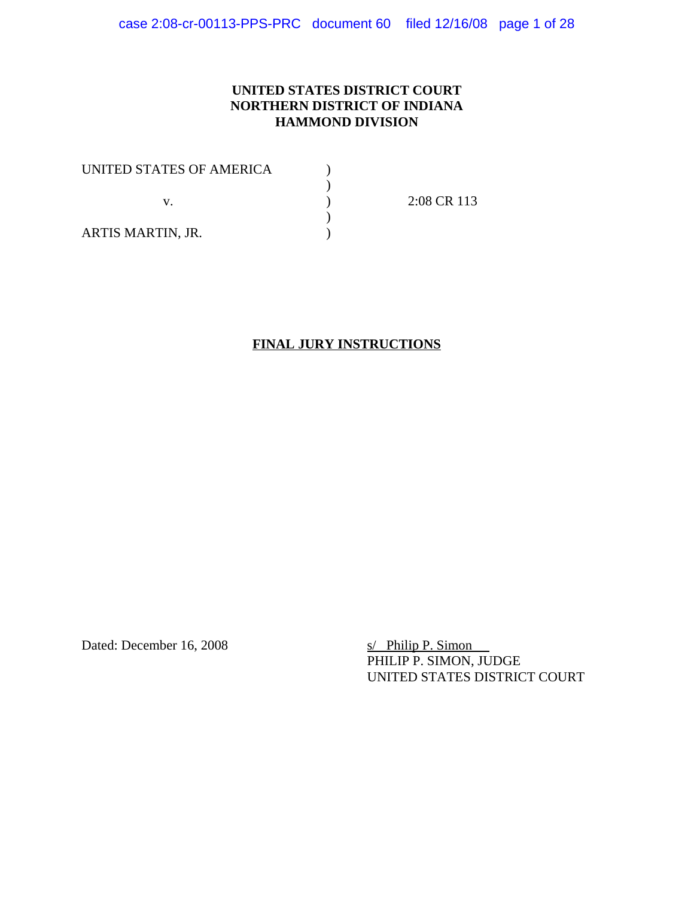# **UNITED STATES DISTRICT COURT NORTHERN DISTRICT OF INDIANA HAMMOND DIVISION**

| UNITED STATES OF AMERICA |             |
|--------------------------|-------------|
|                          |             |
|                          | 2:08 CR 113 |
|                          |             |
| ARTIS MARTIN, JR.        |             |

# **FINAL JURY INSTRUCTIONS**

Dated: December 16, 2008 s/ Philip P. Simon

PHILIP P. SIMON, JUDGE UNITED STATES DISTRICT COURT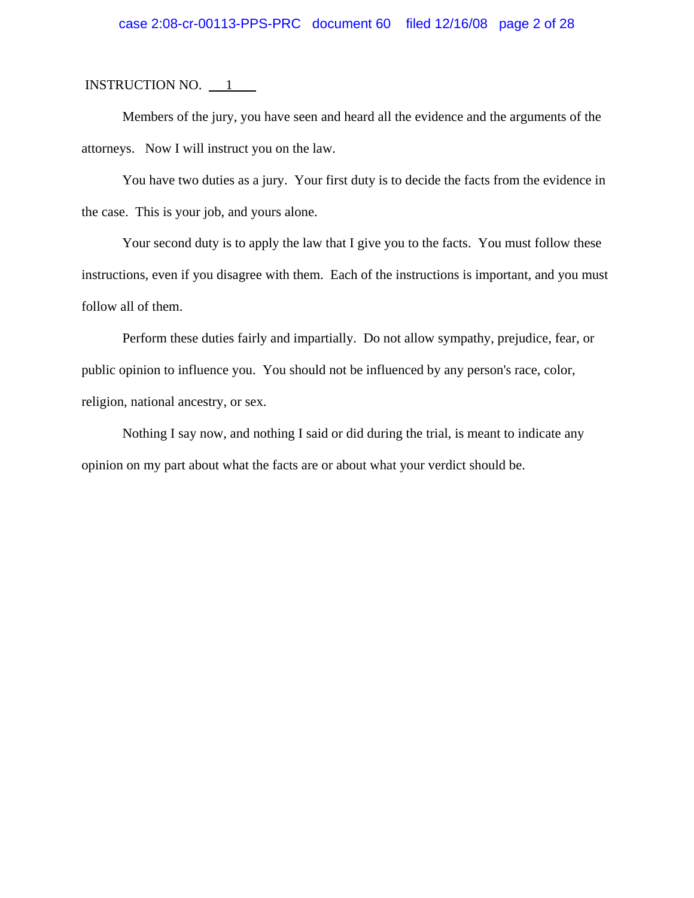## case 2:08-cr-00113-PPS-PRC document 60 filed 12/16/08 page 2 of 28

INSTRUCTION NO.  $\qquad 1$ 

Members of the jury, you have seen and heard all the evidence and the arguments of the attorneys. Now I will instruct you on the law.

You have two duties as a jury. Your first duty is to decide the facts from the evidence in the case. This is your job, and yours alone.

Your second duty is to apply the law that I give you to the facts. You must follow these instructions, even if you disagree with them. Each of the instructions is important, and you must follow all of them.

Perform these duties fairly and impartially. Do not allow sympathy, prejudice, fear, or public opinion to influence you. You should not be influenced by any person's race, color, religion, national ancestry, or sex.

Nothing I say now, and nothing I said or did during the trial, is meant to indicate any opinion on my part about what the facts are or about what your verdict should be.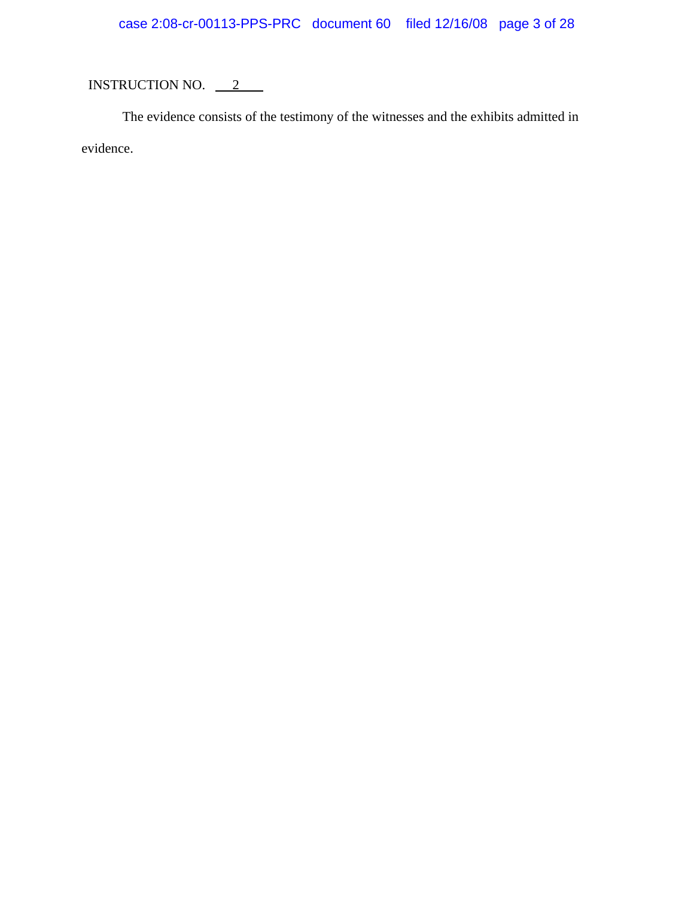# case 2:08-cr-00113-PPS-PRC document 60 filed 12/16/08 page 3 of 28

# INSTRUCTION NO.  $2$

The evidence consists of the testimony of the witnesses and the exhibits admitted in evidence.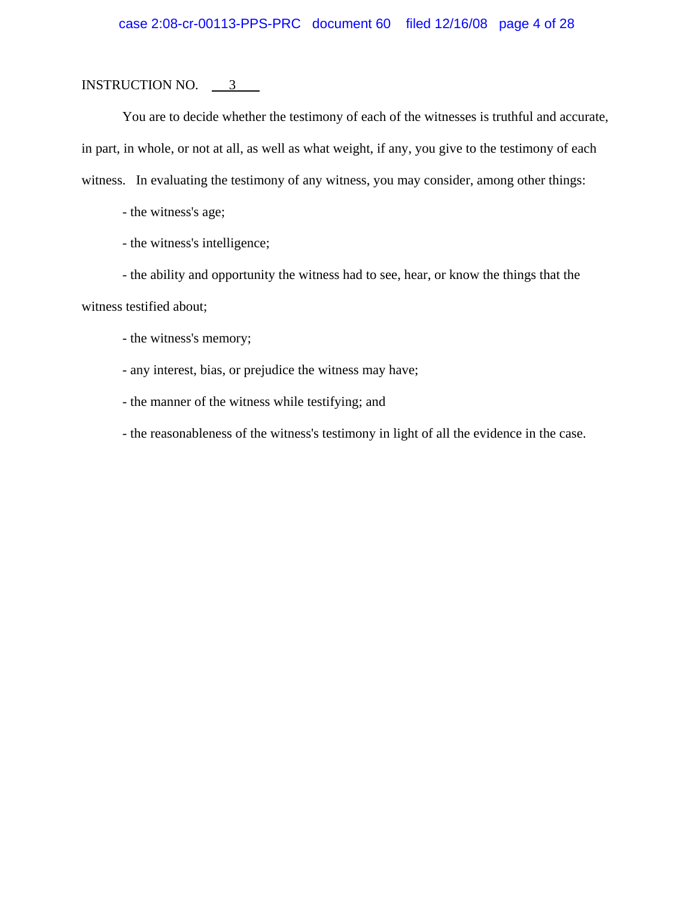You are to decide whether the testimony of each of the witnesses is truthful and accurate, in part, in whole, or not at all, as well as what weight, if any, you give to the testimony of each witness. In evaluating the testimony of any witness, you may consider, among other things:

- the witness's age;

- the witness's intelligence;

- the ability and opportunity the witness had to see, hear, or know the things that the witness testified about;

- the witness's memory;

- any interest, bias, or prejudice the witness may have;

- the manner of the witness while testifying; and

- the reasonableness of the witness's testimony in light of all the evidence in the case.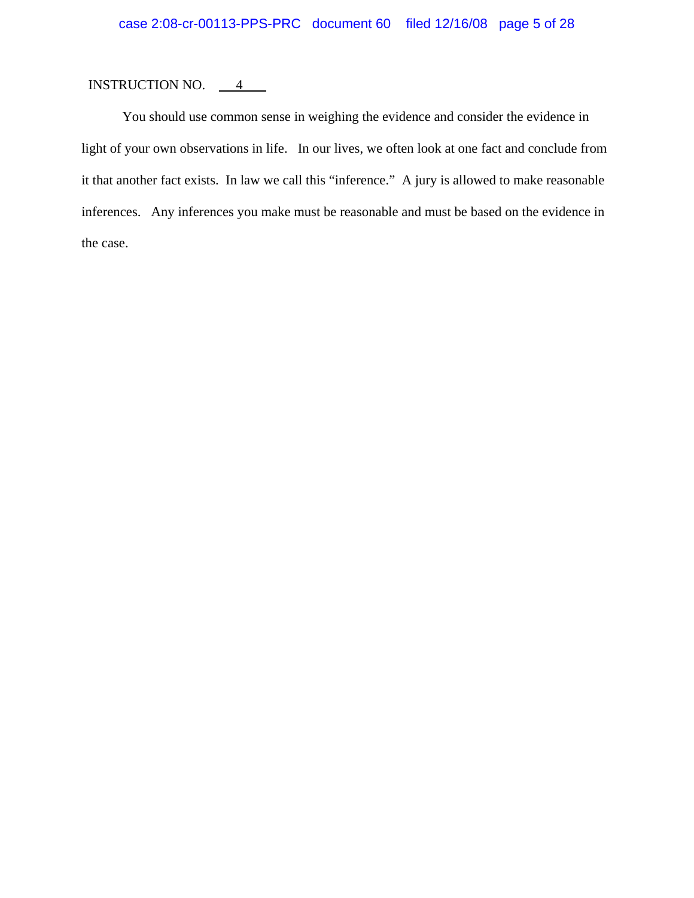## INSTRUCTION NO.  $\frac{4}{1}$

You should use common sense in weighing the evidence and consider the evidence in light of your own observations in life. In our lives, we often look at one fact and conclude from it that another fact exists. In law we call this "inference." A jury is allowed to make reasonable inferences. Any inferences you make must be reasonable and must be based on the evidence in the case.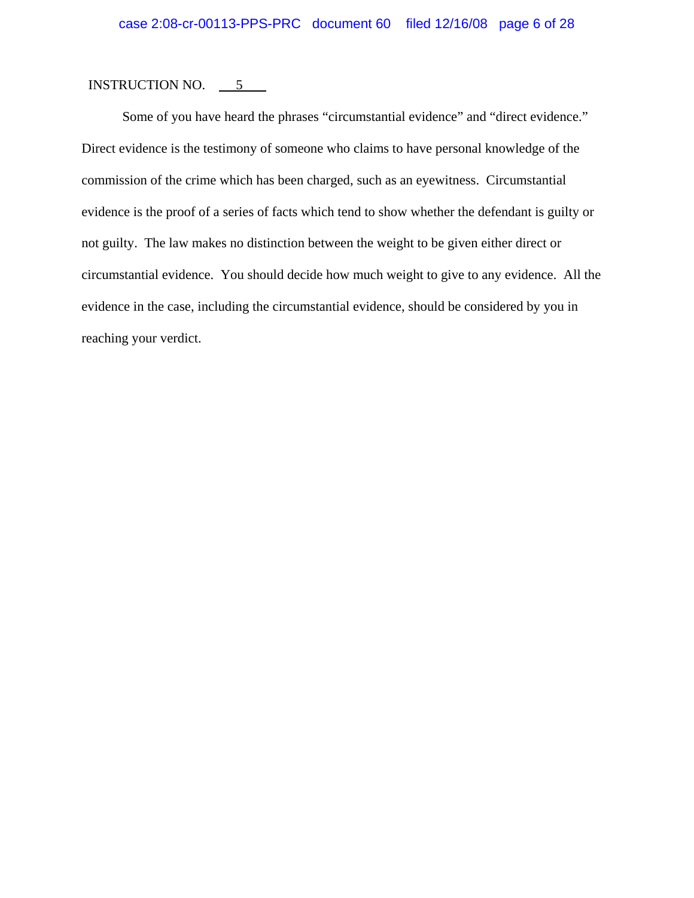#### INSTRUCTION NO.  $\frac{5}{100}$

Some of you have heard the phrases "circumstantial evidence" and "direct evidence." Direct evidence is the testimony of someone who claims to have personal knowledge of the commission of the crime which has been charged, such as an eyewitness. Circumstantial evidence is the proof of a series of facts which tend to show whether the defendant is guilty or not guilty. The law makes no distinction between the weight to be given either direct or circumstantial evidence. You should decide how much weight to give to any evidence. All the evidence in the case, including the circumstantial evidence, should be considered by you in reaching your verdict.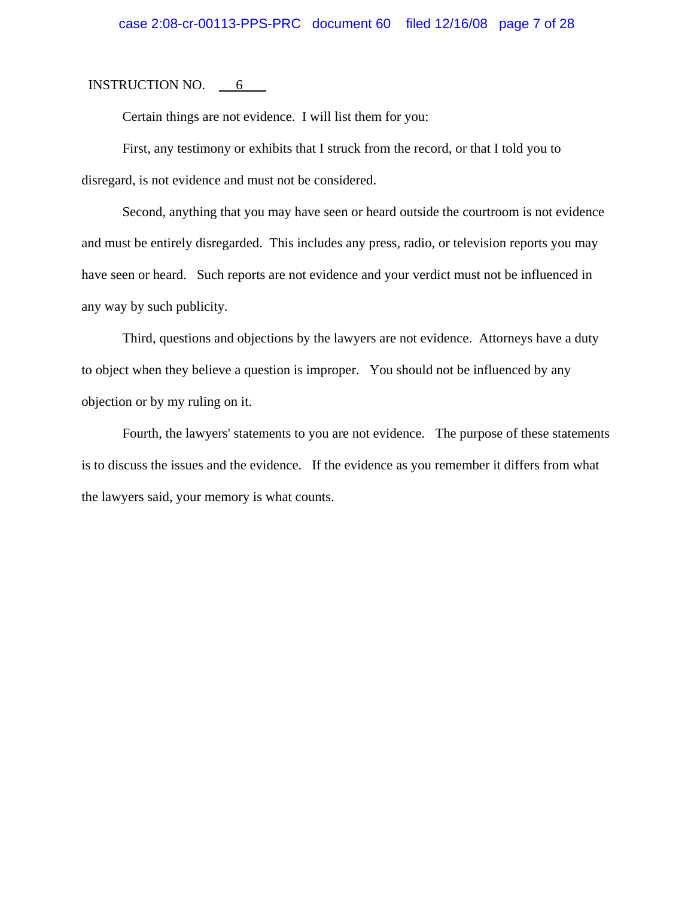INSTRUCTION NO.  $6 \qquad$ 

Certain things are not evidence. I will list them for you:

First, any testimony or exhibits that I struck from the record, or that I told you to disregard, is not evidence and must not be considered.

Second, anything that you may have seen or heard outside the courtroom is not evidence and must be entirely disregarded. This includes any press, radio, or television reports you may have seen or heard. Such reports are not evidence and your verdict must not be influenced in any way by such publicity.

Third, questions and objections by the lawyers are not evidence. Attorneys have a duty to object when they believe a question is improper. You should not be influenced by any objection or by my ruling on it.

Fourth, the lawyers' statements to you are not evidence. The purpose of these statements is to discuss the issues and the evidence. If the evidence as you remember it differs from what the lawyers said, your memory is what counts.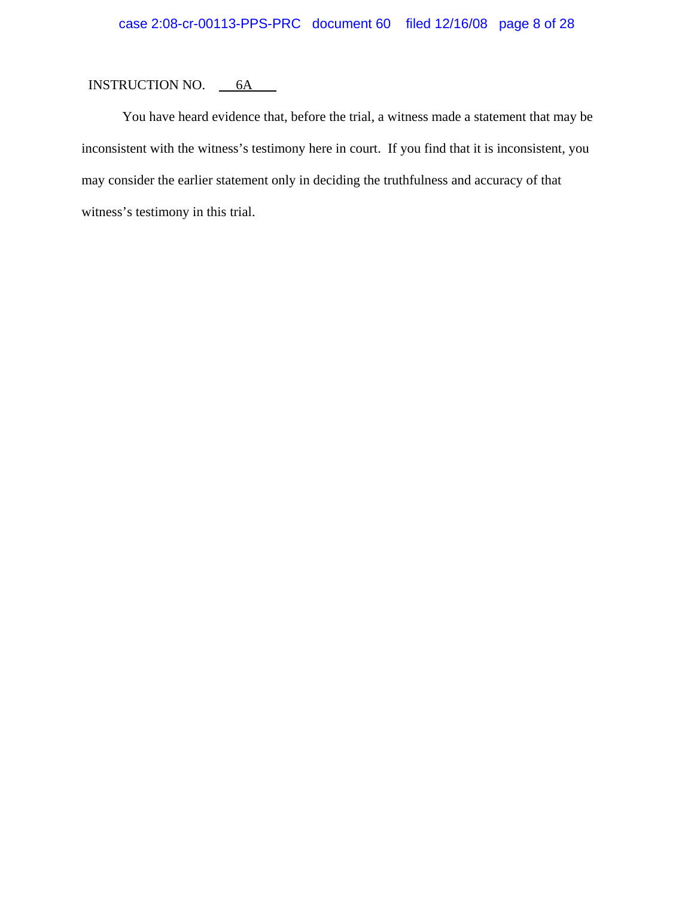You have heard evidence that, before the trial, a witness made a statement that may be inconsistent with the witness's testimony here in court. If you find that it is inconsistent, you may consider the earlier statement only in deciding the truthfulness and accuracy of that witness's testimony in this trial.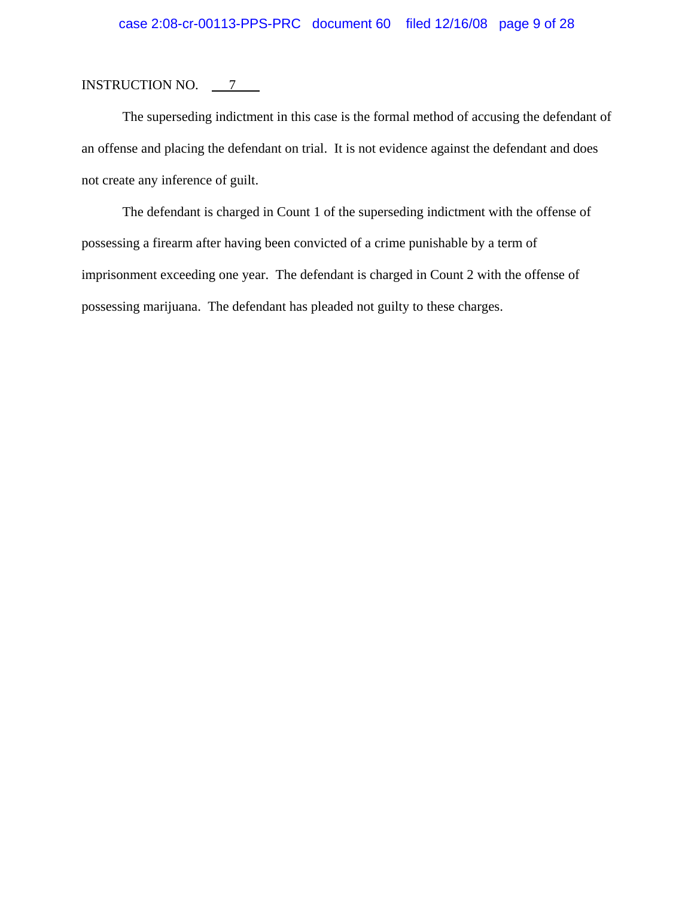The superseding indictment in this case is the formal method of accusing the defendant of an offense and placing the defendant on trial. It is not evidence against the defendant and does not create any inference of guilt.

The defendant is charged in Count 1 of the superseding indictment with the offense of possessing a firearm after having been convicted of a crime punishable by a term of imprisonment exceeding one year. The defendant is charged in Count 2 with the offense of possessing marijuana. The defendant has pleaded not guilty to these charges.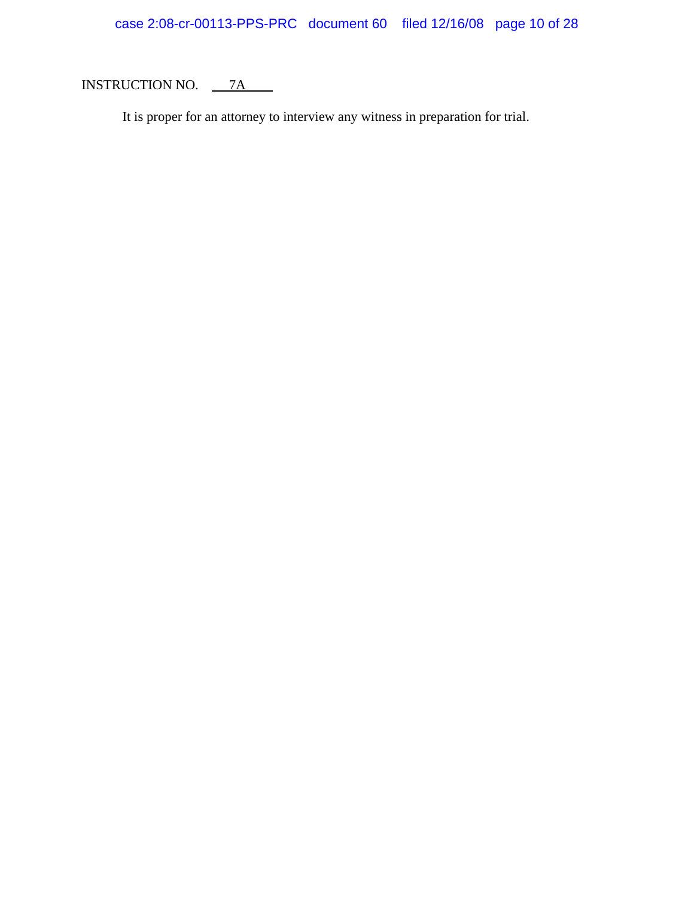It is proper for an attorney to interview any witness in preparation for trial.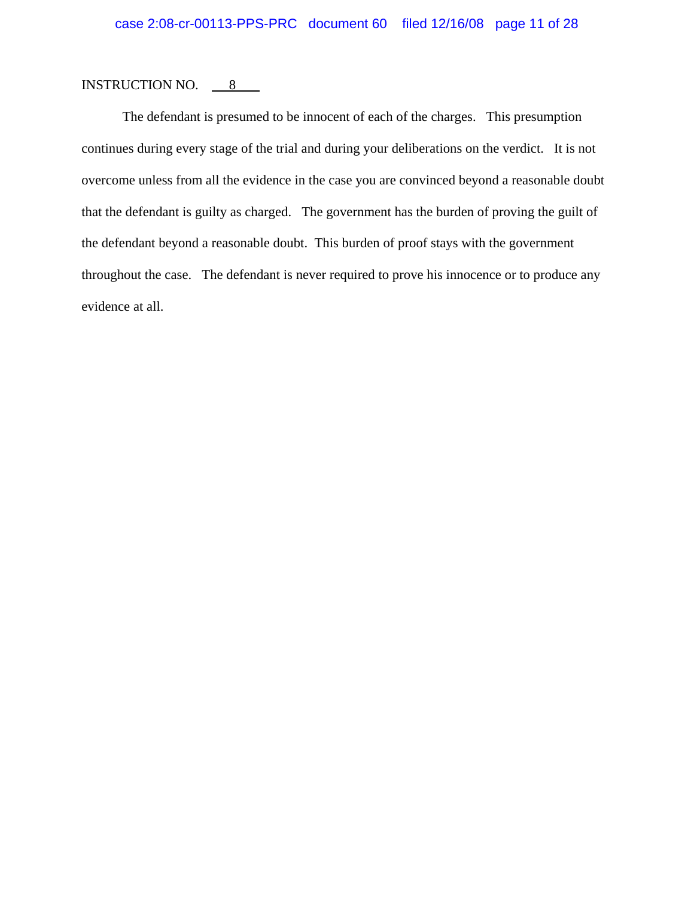#### INSTRUCTION NO.  $8 \qquad$

The defendant is presumed to be innocent of each of the charges. This presumption continues during every stage of the trial and during your deliberations on the verdict. It is not overcome unless from all the evidence in the case you are convinced beyond a reasonable doubt that the defendant is guilty as charged. The government has the burden of proving the guilt of the defendant beyond a reasonable doubt. This burden of proof stays with the government throughout the case. The defendant is never required to prove his innocence or to produce any evidence at all.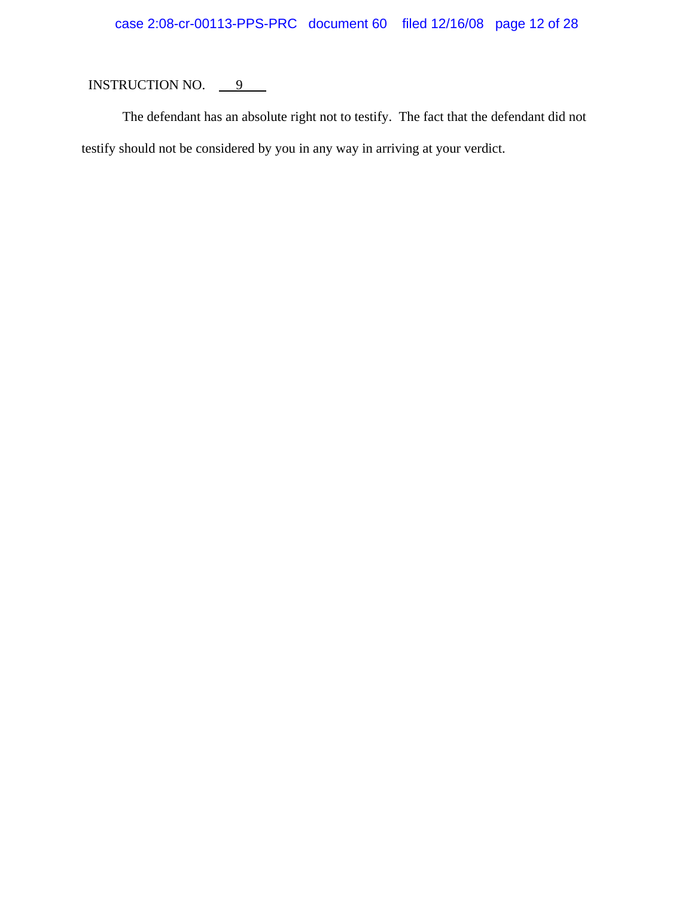# case 2:08-cr-00113-PPS-PRC document 60 filed 12/16/08 page 12 of 28

# INSTRUCTION NO.  $9$

The defendant has an absolute right not to testify. The fact that the defendant did not testify should not be considered by you in any way in arriving at your verdict.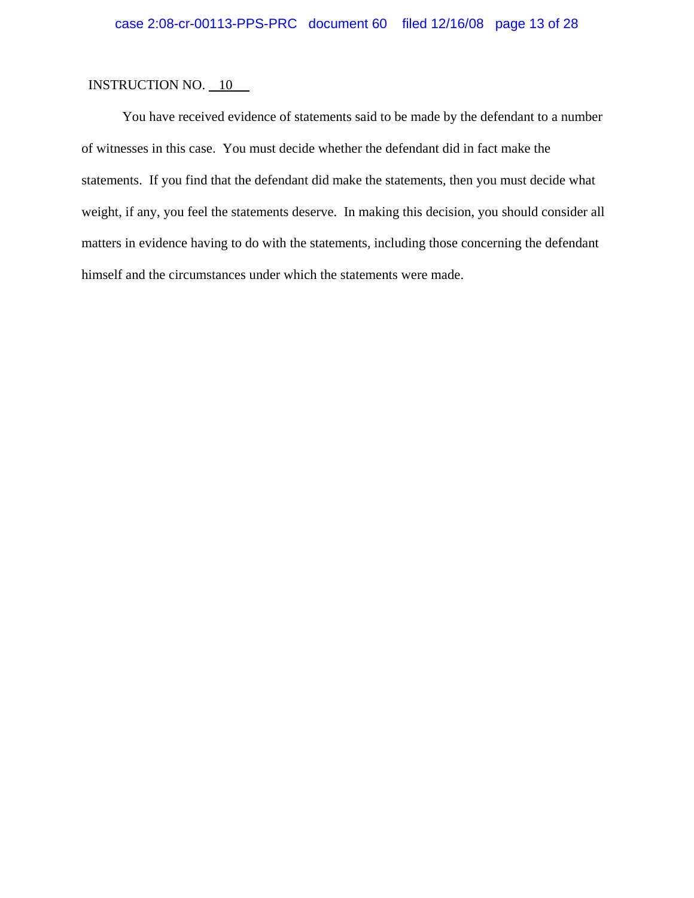You have received evidence of statements said to be made by the defendant to a number of witnesses in this case. You must decide whether the defendant did in fact make the statements. If you find that the defendant did make the statements, then you must decide what weight, if any, you feel the statements deserve. In making this decision, you should consider all matters in evidence having to do with the statements, including those concerning the defendant himself and the circumstances under which the statements were made.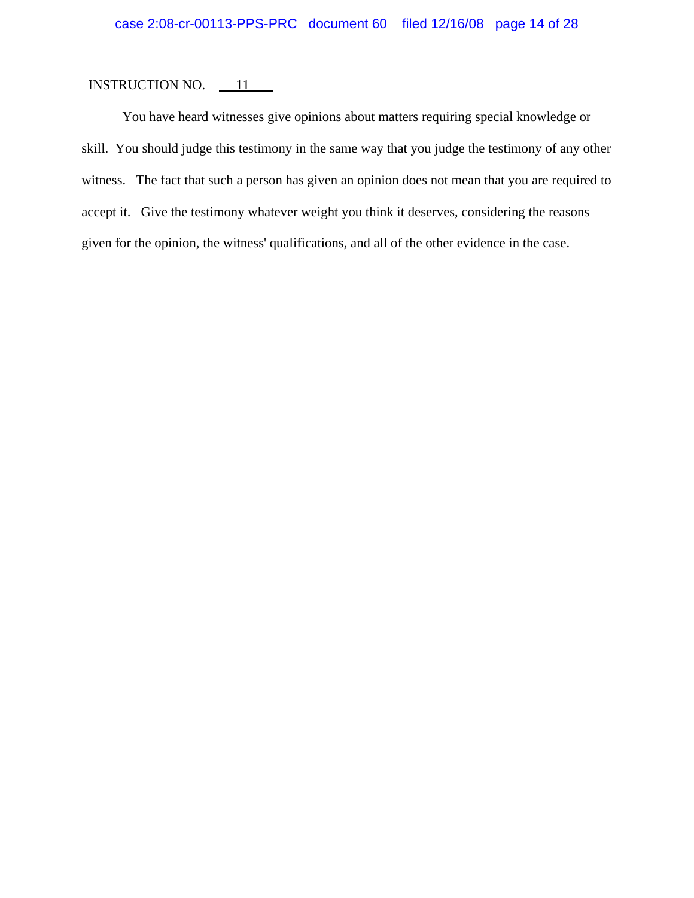You have heard witnesses give opinions about matters requiring special knowledge or skill. You should judge this testimony in the same way that you judge the testimony of any other witness. The fact that such a person has given an opinion does not mean that you are required to accept it. Give the testimony whatever weight you think it deserves, considering the reasons given for the opinion, the witness' qualifications, and all of the other evidence in the case.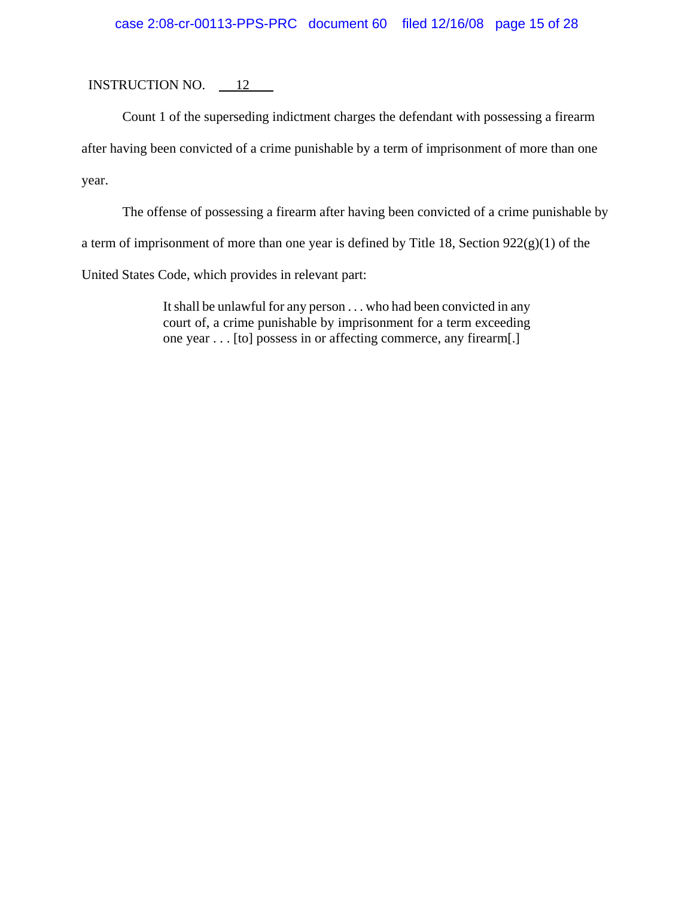## case 2:08-cr-00113-PPS-PRC document 60 filed 12/16/08 page 15 of 28

INSTRUCTION NO.  $\qquad 12$ 

Count 1 of the superseding indictment charges the defendant with possessing a firearm

after having been convicted of a crime punishable by a term of imprisonment of more than one

year.

The offense of possessing a firearm after having been convicted of a crime punishable by

a term of imprisonment of more than one year is defined by Title 18, Section  $922(g)(1)$  of the

United States Code, which provides in relevant part:

It shall be unlawful for any person . . . who had been convicted in any court of, a crime punishable by imprisonment for a term exceeding one year . . . [to] possess in or affecting commerce, any firearm[.]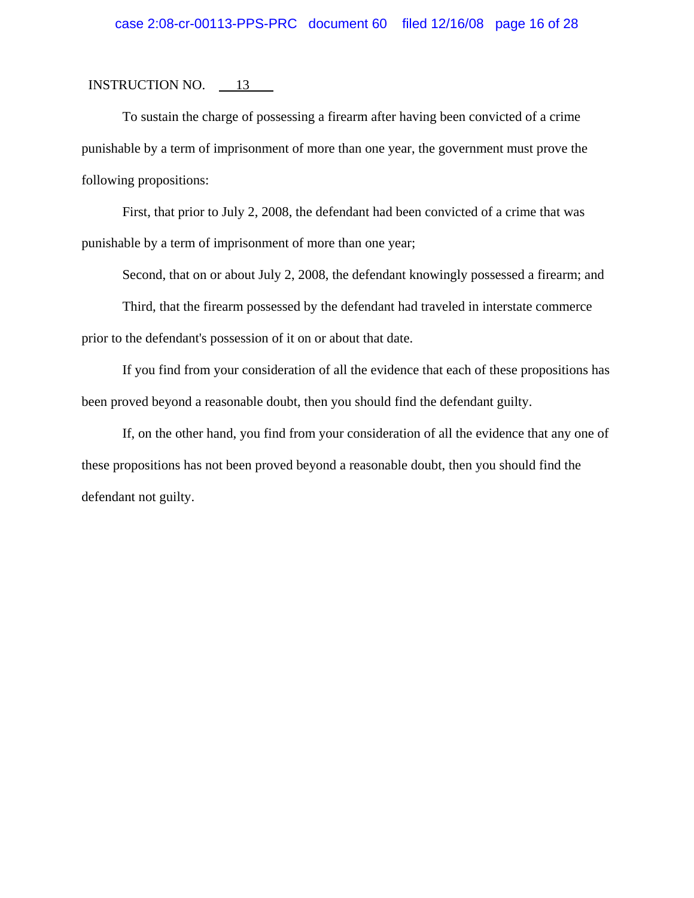## case 2:08-cr-00113-PPS-PRC document 60 filed 12/16/08 page 16 of 28

#### INSTRUCTION NO.  $13$

To sustain the charge of possessing a firearm after having been convicted of a crime punishable by a term of imprisonment of more than one year, the government must prove the following propositions:

First, that prior to July 2, 2008, the defendant had been convicted of a crime that was punishable by a term of imprisonment of more than one year;

Second, that on or about July 2, 2008, the defendant knowingly possessed a firearm; and

Third, that the firearm possessed by the defendant had traveled in interstate commerce prior to the defendant's possession of it on or about that date.

If you find from your consideration of all the evidence that each of these propositions has been proved beyond a reasonable doubt, then you should find the defendant guilty.

If, on the other hand, you find from your consideration of all the evidence that any one of these propositions has not been proved beyond a reasonable doubt, then you should find the defendant not guilty.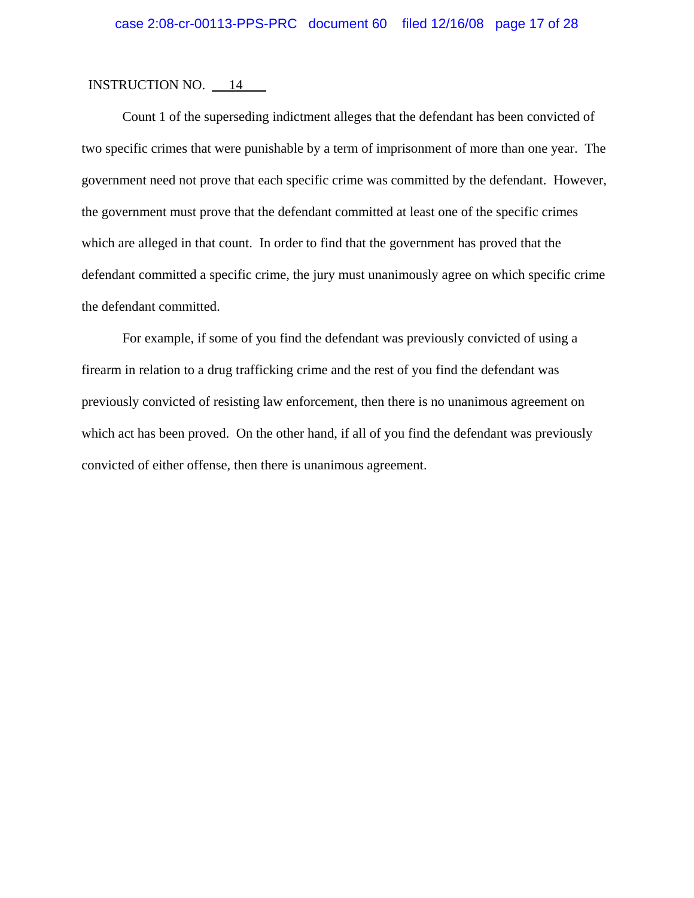Count 1 of the superseding indictment alleges that the defendant has been convicted of two specific crimes that were punishable by a term of imprisonment of more than one year. The government need not prove that each specific crime was committed by the defendant. However, the government must prove that the defendant committed at least one of the specific crimes which are alleged in that count. In order to find that the government has proved that the defendant committed a specific crime, the jury must unanimously agree on which specific crime the defendant committed.

For example, if some of you find the defendant was previously convicted of using a firearm in relation to a drug trafficking crime and the rest of you find the defendant was previously convicted of resisting law enforcement, then there is no unanimous agreement on which act has been proved. On the other hand, if all of you find the defendant was previously convicted of either offense, then there is unanimous agreement.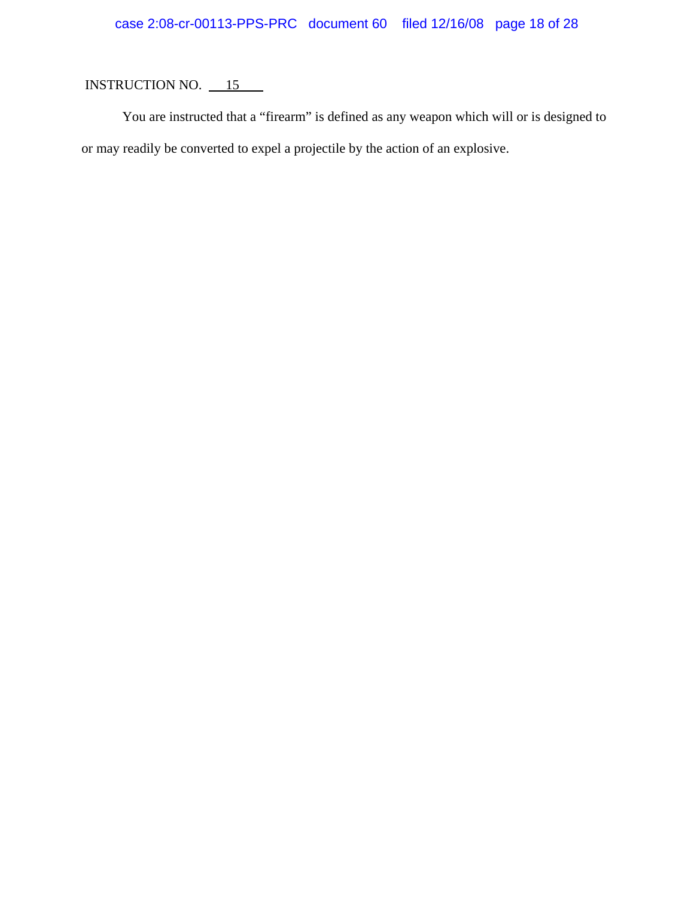# case 2:08-cr-00113-PPS-PRC document 60 filed 12/16/08 page 18 of 28

# INSTRUCTION NO. 15

You are instructed that a "firearm" is defined as any weapon which will or is designed to or may readily be converted to expel a projectile by the action of an explosive.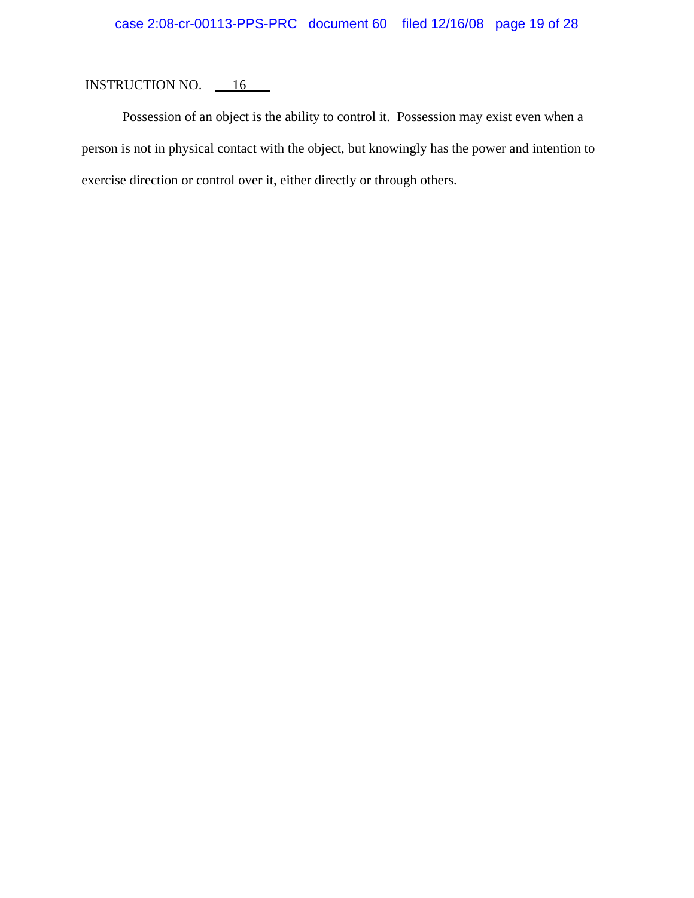Possession of an object is the ability to control it. Possession may exist even when a person is not in physical contact with the object, but knowingly has the power and intention to exercise direction or control over it, either directly or through others.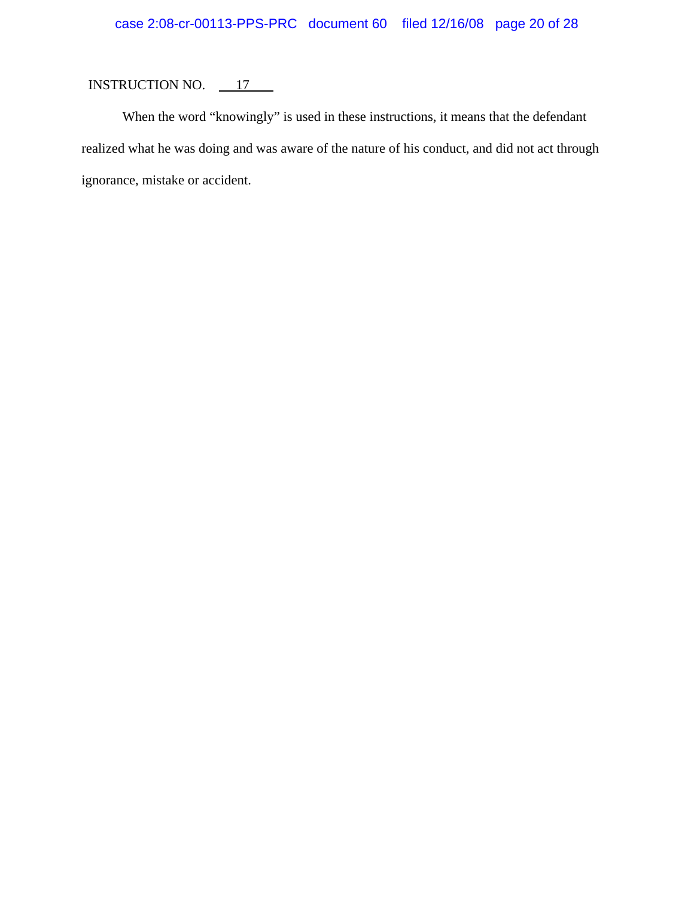# INSTRUCTION NO.  $\frac{17}{2}$

When the word "knowingly" is used in these instructions, it means that the defendant realized what he was doing and was aware of the nature of his conduct, and did not act through ignorance, mistake or accident.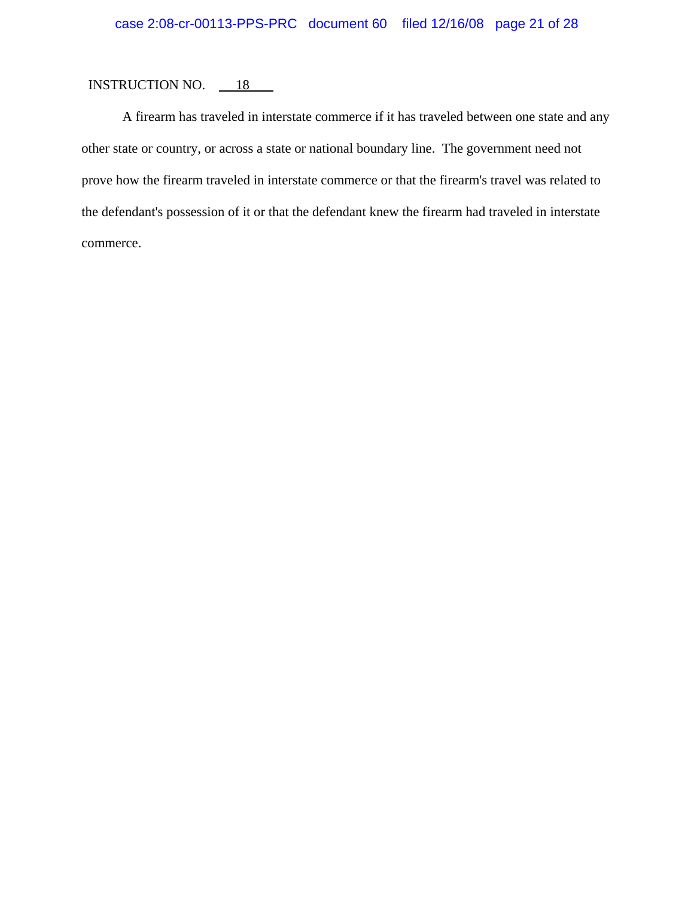A firearm has traveled in interstate commerce if it has traveled between one state and any other state or country, or across a state or national boundary line. The government need not prove how the firearm traveled in interstate commerce or that the firearm's travel was related to the defendant's possession of it or that the defendant knew the firearm had traveled in interstate commerce.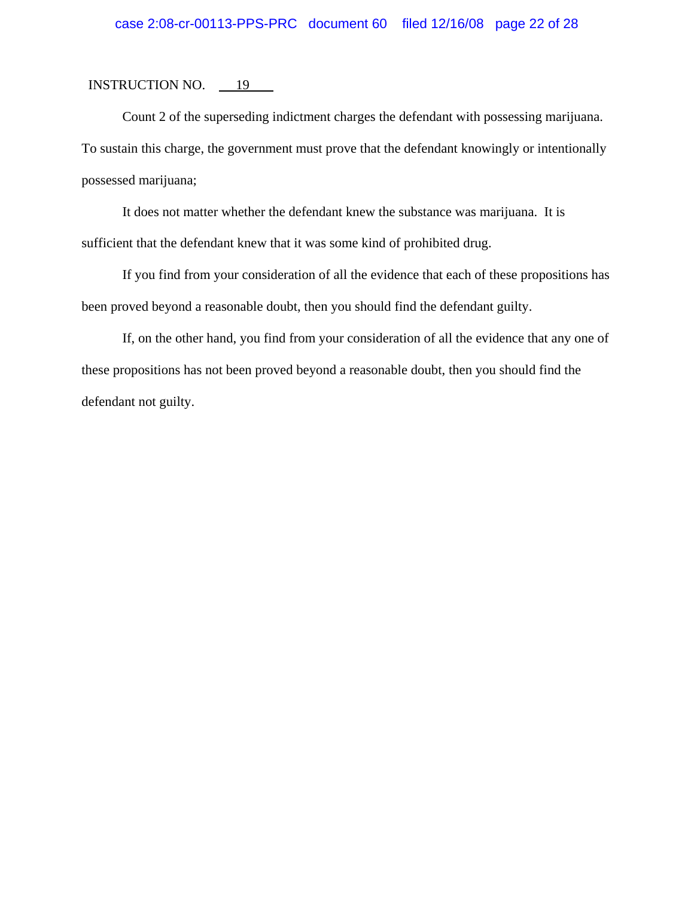## case 2:08-cr-00113-PPS-PRC document 60 filed 12/16/08 page 22 of 28

#### INSTRUCTION NO. 19

Count 2 of the superseding indictment charges the defendant with possessing marijuana. To sustain this charge, the government must prove that the defendant knowingly or intentionally possessed marijuana;

It does not matter whether the defendant knew the substance was marijuana. It is sufficient that the defendant knew that it was some kind of prohibited drug.

If you find from your consideration of all the evidence that each of these propositions has been proved beyond a reasonable doubt, then you should find the defendant guilty.

If, on the other hand, you find from your consideration of all the evidence that any one of these propositions has not been proved beyond a reasonable doubt, then you should find the defendant not guilty.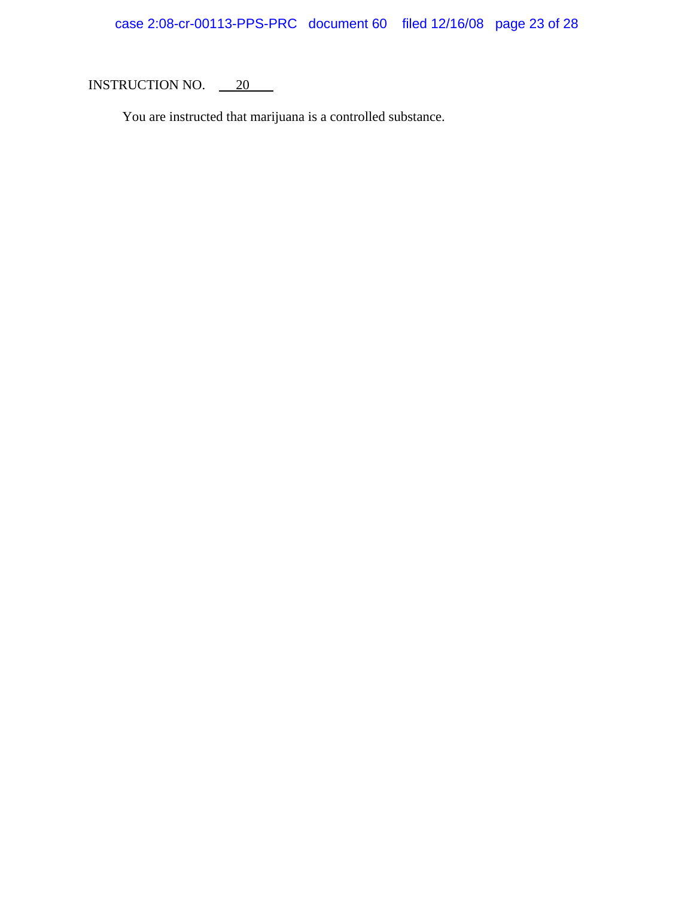You are instructed that marijuana is a controlled substance.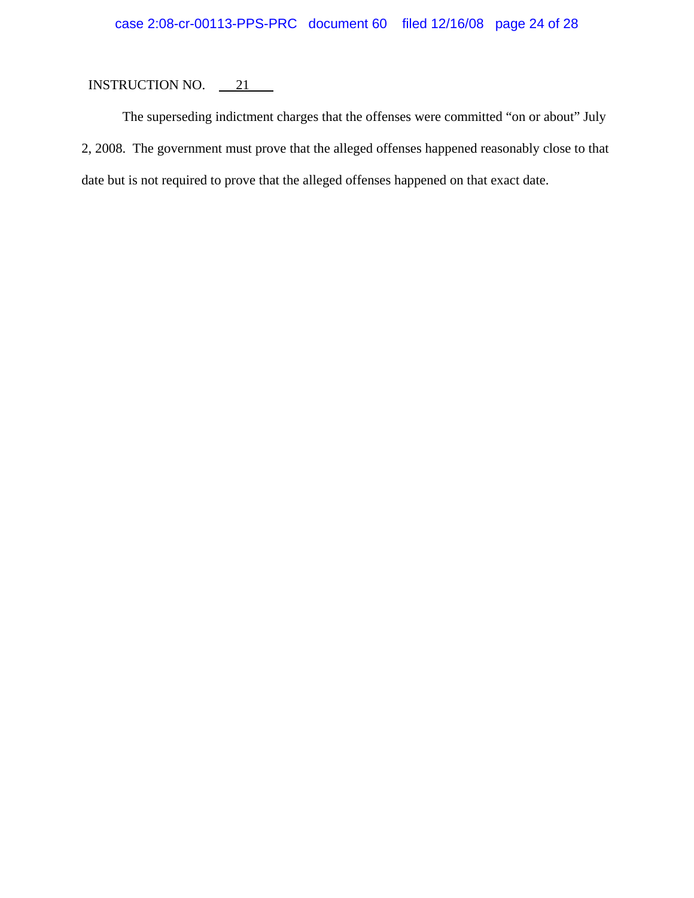## INSTRUCTION NO.  $\qquad 21$

The superseding indictment charges that the offenses were committed "on or about" July 2, 2008. The government must prove that the alleged offenses happened reasonably close to that date but is not required to prove that the alleged offenses happened on that exact date.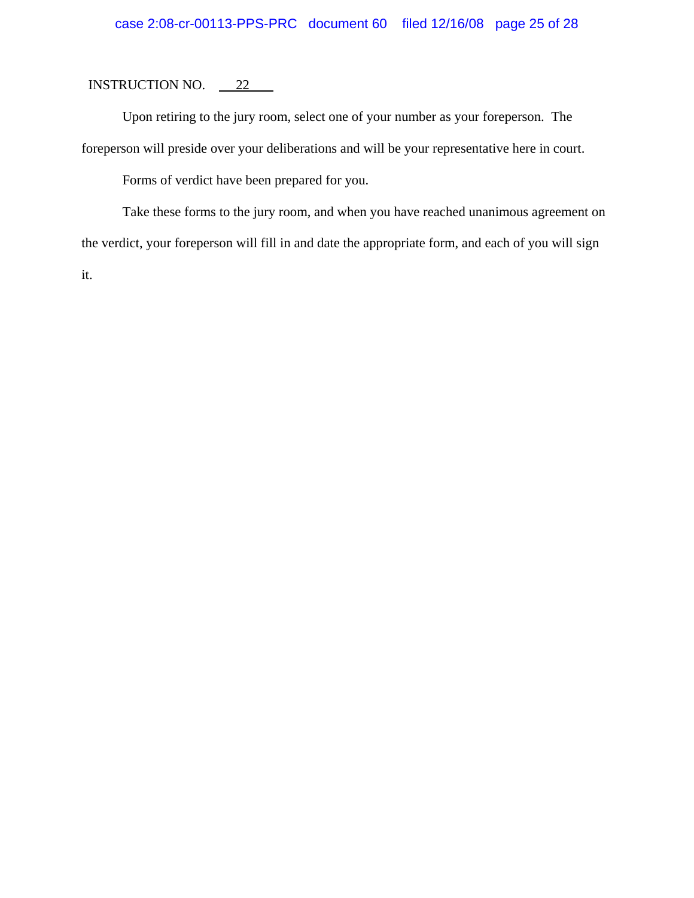Upon retiring to the jury room, select one of your number as your foreperson. The foreperson will preside over your deliberations and will be your representative here in court.

Forms of verdict have been prepared for you.

Take these forms to the jury room, and when you have reached unanimous agreement on the verdict, your foreperson will fill in and date the appropriate form, and each of you will sign it.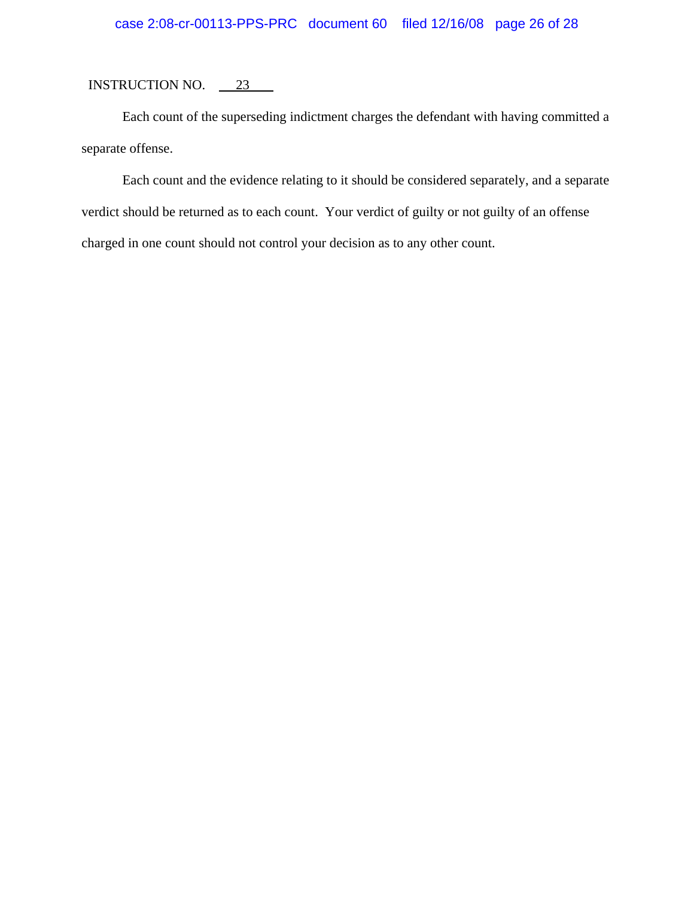Each count of the superseding indictment charges the defendant with having committed a separate offense.

Each count and the evidence relating to it should be considered separately, and a separate verdict should be returned as to each count. Your verdict of guilty or not guilty of an offense charged in one count should not control your decision as to any other count.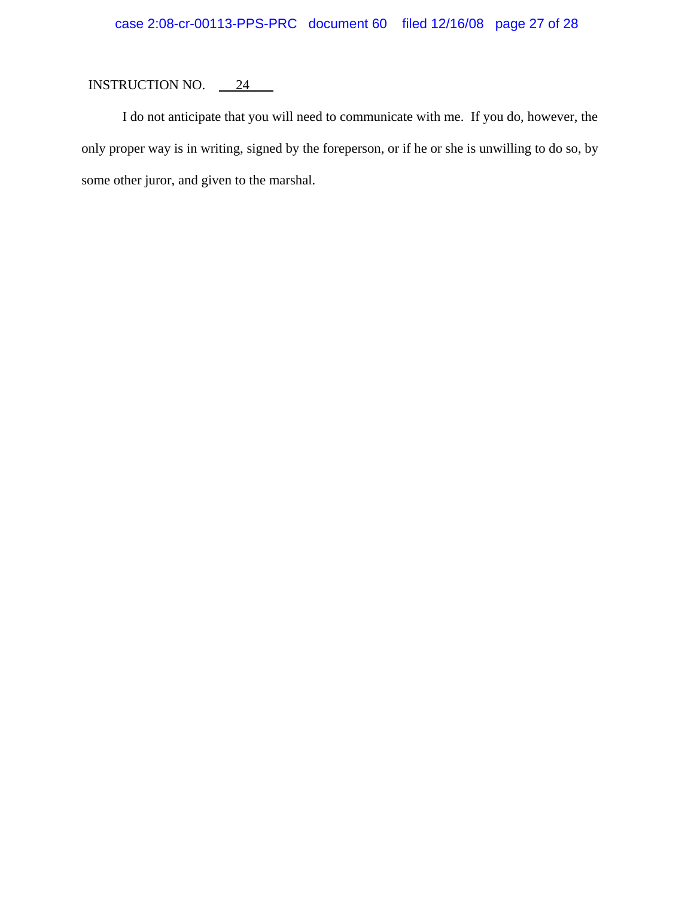# INSTRUCTION NO.  $\frac{24}{24}$

I do not anticipate that you will need to communicate with me. If you do, however, the only proper way is in writing, signed by the foreperson, or if he or she is unwilling to do so, by some other juror, and given to the marshal.